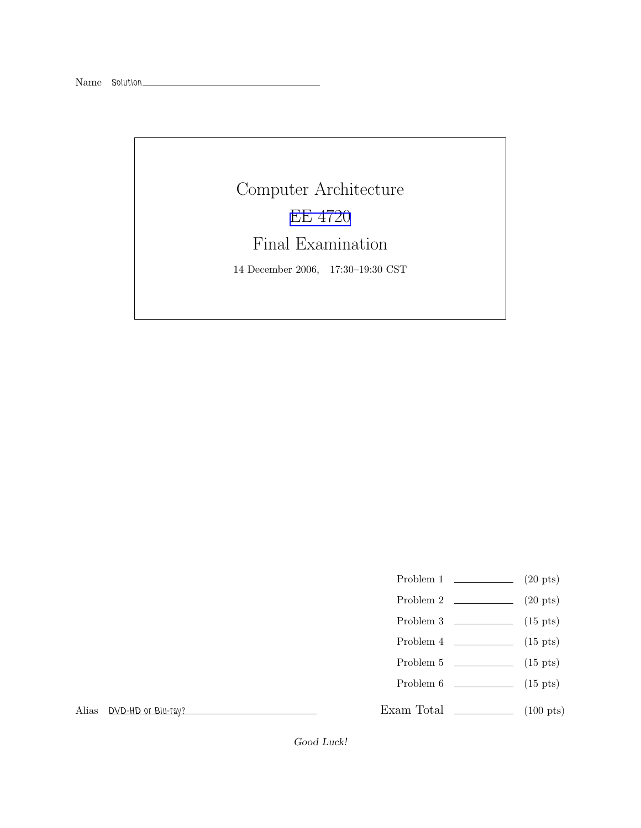# Computer Architecture EE [4720](http://www.ece.lsu.edu/ee4720/) Final Examination 14 December 2006, 17:30–19:30 CST

- Problem 1  $\qquad \qquad (20 \text{ pts})$
- Problem 2  $\qquad \qquad (20 \text{ pts})$
- Problem 3  $\qquad \qquad$  (15 pts)
- Problem 4  $\qquad \qquad$  (15 pts)
- Problem 5  $\qquad \qquad$  (15 pts)
- Problem 6 (15 pts)

Exam Total \_\_\_\_\_\_\_\_\_\_\_\_\_ (100 pts)

Alias DVD-HD or Blu-ray?

Good Luck!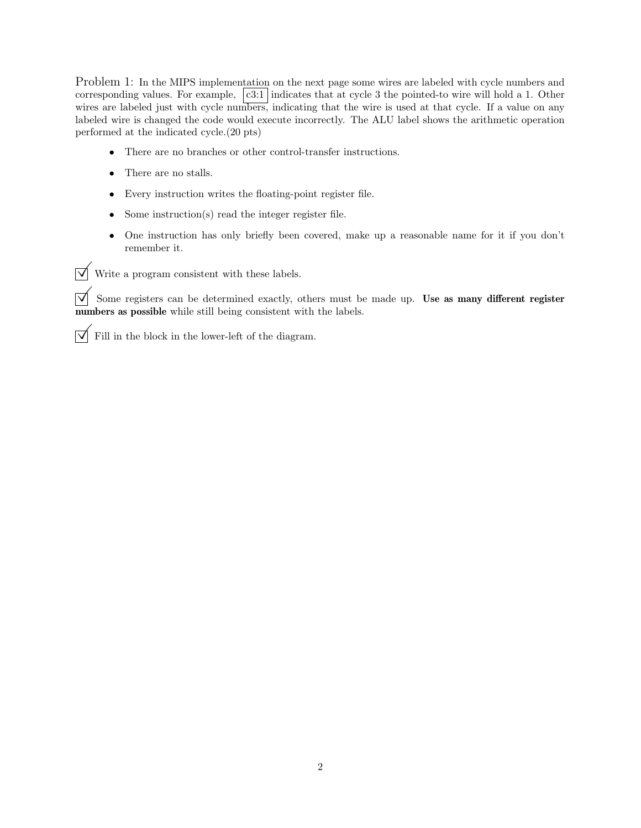Problem 1: In the MIPS implementation on the next page some wires are labeled with cycle numbers and corresponding values. For example,  $|c3:1|$  indicates that at cycle 3 the pointed-to wire will hold a 1. Other wires are labeled just with cycle numbers, indicating that the wire is used at that cycle. If a value on any labeled wire is changed the code would execute incorrectly. The ALU label shows the arithmetic operation performed at the indicated cycle.(20 pts)

- There are no branches or other control-transfer instructions.
- There are no stalls.
- Every instruction writes the floating-point register file.
- Some instruction(s) read the integer register file.
- One instruction has only briefly been covered, make up a reasonable name for it if you don't remember it.

 $\triangledown$  Write a program consistent with these labels.

 $\overline{\vee}$  Some registers can be determined exactly, others must be made up. Use as many different register numbers as possible while still being consistent with the labels.

 $\overline{\vee}$  Fill in the block in the lower-left of the diagram.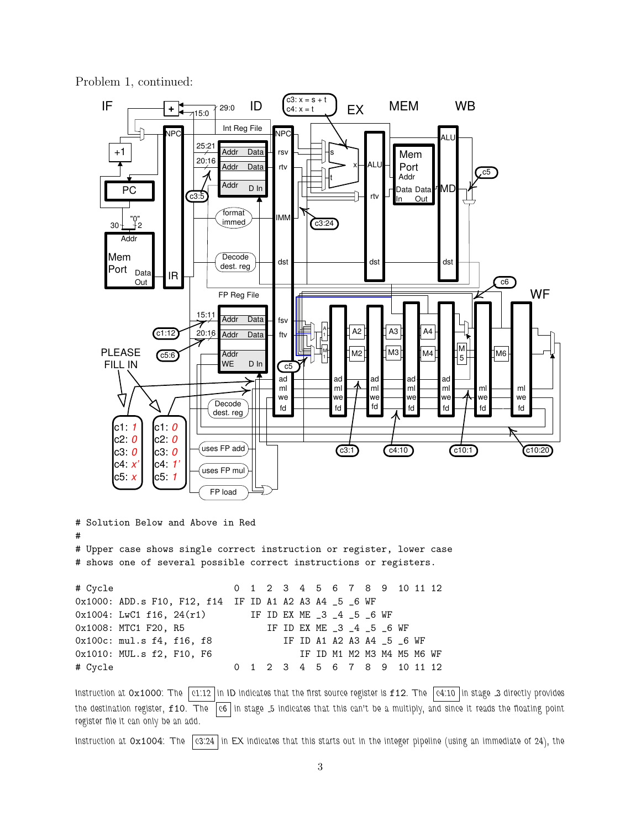Problem 1, continued:

#



# Upper case shows single correct instruction or register, lower case # shows one of several possible correct instructions or registers.

```
# Cycle 0 1 2 3 4 5 6 7 8 9 10 11 12
0x1000: ADD.s F10, F12, f14 IF ID A1 A2 A3 A4 _5 _6 WF
0x1004: LwC1 f16, 24(r1) IF ID EX ME _3 _4 _5 _6 WF
0x1008: MTC1 F20, R5 IF ID EX ME _3 _4 _5 _6 WF
0x100c: mul.s f4, f16, f8 IF ID A1 A2 A3 A4 _5 _6 WF
0x1010: MUL.s f2, F10, F6 IF ID M1 M2 M3 M4 M5 M6 WF
# Cycle 0 1 2 3 4 5 6 7 8 9 10 11 12
```
Instruction at  $0 \times 1000$ : The  $\boxed{c1.12}$  in ID indicates that the first source register is f12. The  $\boxed{c4.10}$  in stage 3 directly provides the destination register, f10. The c6 in stage 5 indicates that this can't be a multiply, and since it reads the floating point register file it can only be an add.

Instruction at 0x1004: The  $\sqrt{c3:24}$  in EX indicates that this starts out in the integer pipeline (using an immediate of 24), the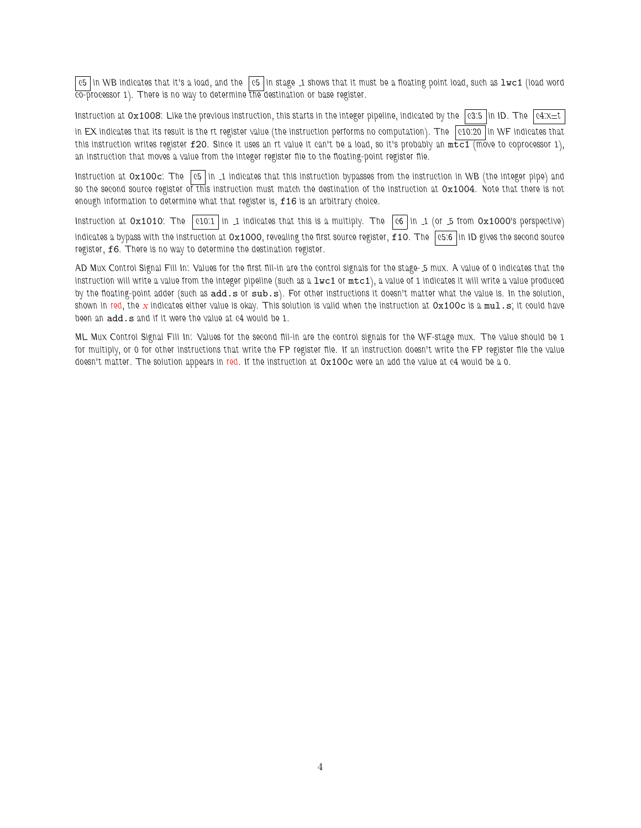c5 in WB indicates that it's a load, and the c5 in stage 1 shows that it must be a floating point load, such as  $1 \le 1$  (load word co-processor 1). There is no way to determine the destination or base register.

Instruction at 0x1008: Like the previous instruction, this starts in the integer pipeline, indicated by the  $|c3:5|$  in ID. The  $|c4: \times \pm t|$ in EX indicates that its result is the rt register value (the instruction performs no computation). The  $\vert$  c10:20  $\vert$  in WF indicates that this instruction writes register  $f20$ . Since it uses an rt value it can't be a load, so it's probably an  $m \overline{t c} 1$  (move to coprocessor 1), an instruction that moves a value from the integer register file to the floating-point register file.

Instruction at  $0x100c$ : The  $|c5|$  in 1 indicates that this instruction bypasses from the instruction in WB (the integer pipe) and so the second source register of this instruction must match the destination of the instruction at  $0x1004$ . Note that there is not enough information to determine what that register is, f16 is an arbitrary choice.

Instruction at  $0x1010$ : The c10:1 in 1 indicates that this is a multiply. The c6 in 1 (or 5 from  $0x1000$ 's perspective) indicates a bypass with the instruction at  $0x1000$ , revealing the first source register,  $f10$ . The  $\int$  c5:6 in ID gives the second source register, f6. There is no way to determine the destination register.

AD Mux Control Signal Fill In: Values for the first fill-in are the control signals for the stage- 5 mux. A value of 0 indicates that the instruction will write a value from the integer pipeline (such as a  $1$ wc1 or  $m$ tc1), a value of 1 indicates it will write a value produced by the floating-point adder (such as add.s or sub.s). For other instructions it doesn't matter what the value is. In the solution, shown in red, the x indicates either value is okay. This solution is valid when the instruction at  $0x100c$  is a mul.s; it could have been an add.s and if it were the value at c4 would be 1.

ML Mux Control Signal Fill In: Values for the second fill-in are the control signals for the WF-stage mux. The value should be 1 for multiply, or 0 for other instructions that write the FP register file. If an instruction doesn't write the FP register file the value doesn't matter. The solution appears in red. If the instruction at  $0x100c$  were an add the value at c4 would be a 0.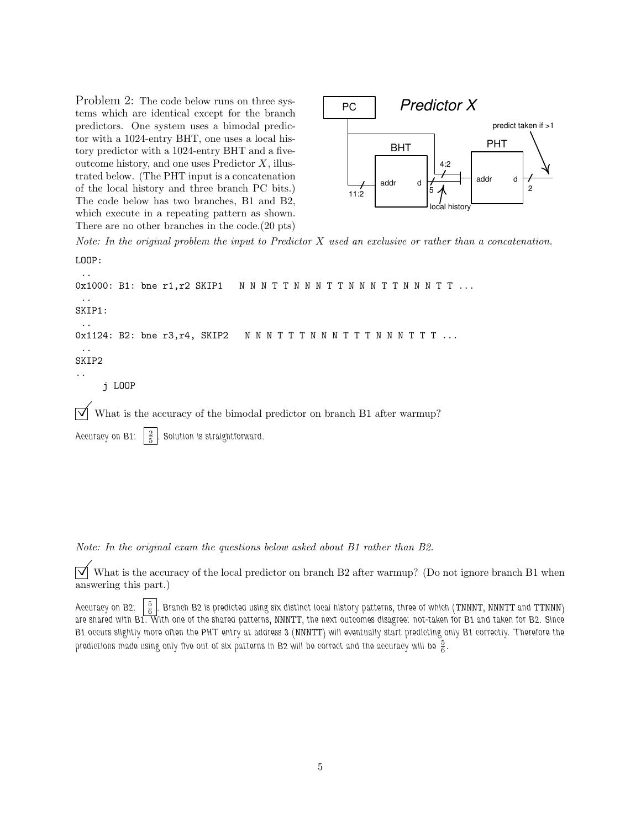Problem 2: The code below runs on three systems which are identical except for the branch predictors. One system uses a bimodal predictor with a 1024-entry BHT, one uses a local history predictor with a 1024-entry BHT and a fiveoutcome history, and one uses Predictor X, illustrated below. (The PHT input is a concatenation of the local history and three branch PC bits.) The code below has two branches, B1 and B2, which execute in a repeating pattern as shown. There are no other branches in the code.(20 pts)

..



Note: In the original problem the input to Predictor  $X$  used an exclusive or rather than a concatenation. LOOP:

0x1000: B1: bne r1, r2 SKIP1 NNNTTNNNNTTNNNTTNNNTT... .. SKIP1: .. 0x1124: B2: bne r3, r4, SKIP2 N N N T T T N N N T T T N N N T T T ... .. SKIP2 .. j LOOP  $\triangledown$  What is the accuracy of the bimodal predictor on branch B1 after warmup? Accuracy on B1:  $\frac{2}{5}$ . Solution is straightforward.

Note: In the original exam the questions below asked about B1 rather than B2.

 $\triangledown$  What is the accuracy of the local predictor on branch B2 after warmup? (Do not ignore branch B1 when answering this part.)

Accuracy on B2:  $\frac{5}{6}$  . Branch B2 is predicted using six distinct local history patterns, three of which (TNNNT, NNNTT and TTNNN) are shared with B1. With one of the shared patterns, NNNTT, the next outcomes disagree: not-taken for B1 and taken for B2. Since B1 occurs slightly more often the PHT entry at address 3 (NNNTT) will eventually start predicting only B1 correctly. Therefore the predictions made using only five out of six patterns in B2 will be correct and the accuracy will be  $\frac{5}{6}$ .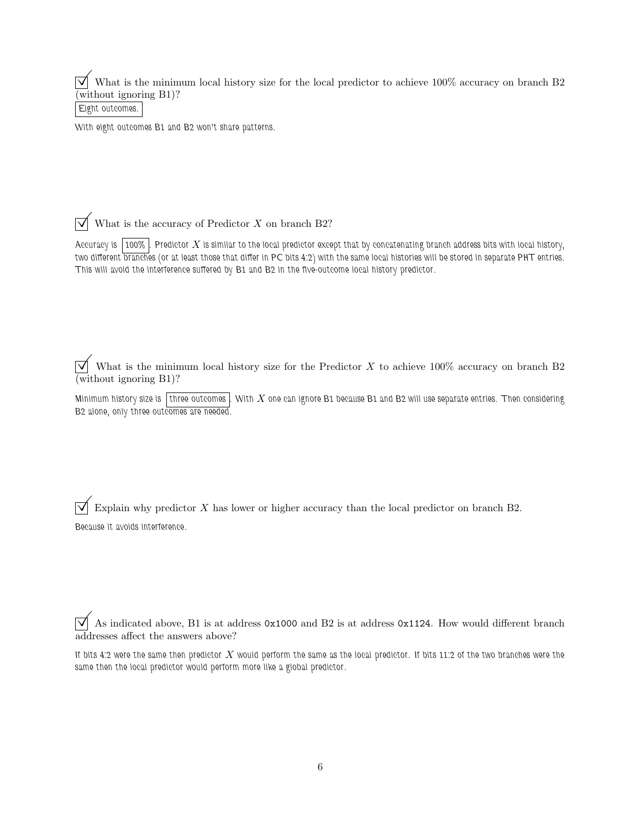$\overrightarrow{\mathcal{A}}$  What is the minimum local history size for the local predictor to achieve 100% accuracy on branch B2 (without ignoring B1)?

Eight outcomes.

With eight outcomes B1 and B2 won't share patterns.

 $\overrightarrow{\bigvee}$  What is the accuracy of Predictor X on branch B2?

Accuracy is  $\boxed{100\%}$ . Predictor X is similar to the local predictor except that by concatenating branch address bits with local history, two different branches (or at least those that differ in PC bits 4:2) with the same local histories will be stored in separate PHT entries. This will avoid the interference suffered by B1 and B2 in the five-outcome local history predictor.

 $\overrightarrow{v}$  What is the minimum local history size for the Predictor X to achieve 100% accuracy on branch B2 (without ignoring B1)?

Minimum history size is three outcomes. With X one can ignore B1 because B1 and B2 will use separate entries. Then considering B2 alone, only three outcomes are needed.

 $\overrightarrow{\mathsf{Q}}$  Explain why predictor X has lower or higher accuracy than the local predictor on branch B2. Because it avoids interference.

 $\overrightarrow{\mathcal{A}}$  As indicated above, B1 is at address 0x1000 and B2 is at address 0x1124. How would different branch addresses affect the answers above?

If bits 4:2 were the same then predictor  $X$  would perform the same as the local predictor. If bits 11:2 of the two branches were the same then the local predictor would perform more like a global predictor.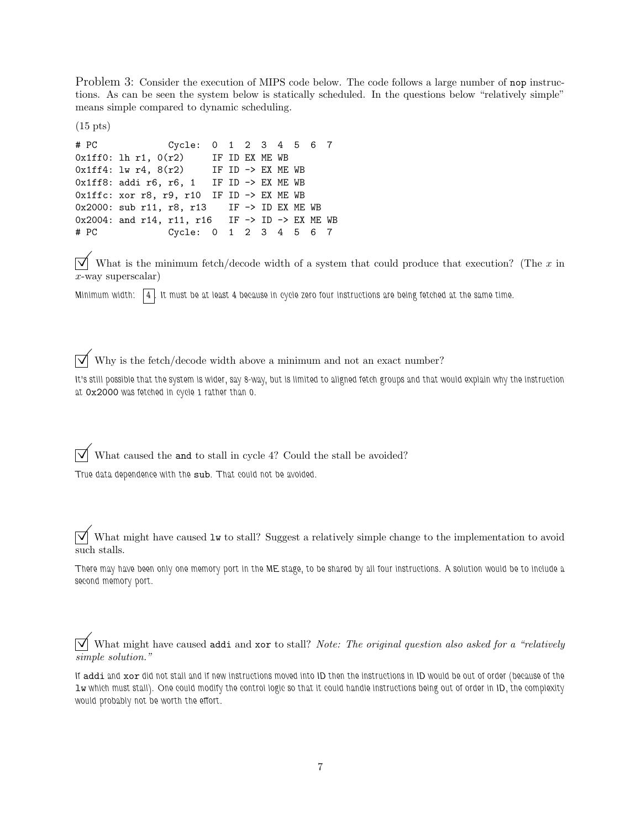Problem 3: Consider the execution of MIPS code below. The code follows a large number of nop instructions. As can be seen the system below is statically scheduled. In the questions below "relatively simple" means simple compared to dynamic scheduling.

(15 pts)

```
# PC Cycle: 0 1 2 3 4 5 6 7
0x1ff0: lh r1, 0(r2) IF ID EX ME WB
0x1ff4: lw r4, 8(r2) IF ID -> EX ME WB
0x1ff8: addi r6, r6, 1 IF ID -> EX ME WB
0x1ffc: xor r8, r9, r10 IF ID -> EX ME WB
0x2000: sub r11, r8, r13 IF -> ID EX ME WB
0x2004: and r14, r11, r16 IF -> ID -> EX ME WB
# PC Cycle: 0 1 2 3 4 5 6 7
```
 $\overrightarrow{\mathcal{A}}$  What is the minimum fetch/decode width of a system that could produce that execution? (The x in  $x$ -way superscalar)

Minimum width:  $\boxed{4}$ . It must be at least 4 because in cycle zero four instructions are being fetched at the same time.

## $\boxed{\bigtriangledown}$  Why is the fetch/decode width above a minimum and not an exact number?

It's still possible that the system is wider, say 8-way, but is limited to aligned fetch groups and that would explain why the instruction at 0x2000 was fetched in cycle 1 rather than 0.

 $\overrightarrow{\mathsf{V}}$  What caused the and to stall in cycle 4? Could the stall be avoided?

True data dependence with the sub. That could not be avoided.

 $\overrightarrow{v}$  What might have caused lw to stall? Suggest a relatively simple change to the implementation to avoid such stalls.

There may have been only one memory port in the ME stage, to be shared by all four instructions. A solution would be to include a second memory port.

 $\overrightarrow{\mathsf{V}}$  What might have caused addi and xor to stall? Note: The original question also asked for a "relatively" simple solution."

If addi and xor did not stall and if new instructions moved into ID then the instructions in ID would be out of order (because of the lw which must stall). One could modify the control logic so that it could handle instructions being out of order in ID, the complexity would probably not be worth the effort.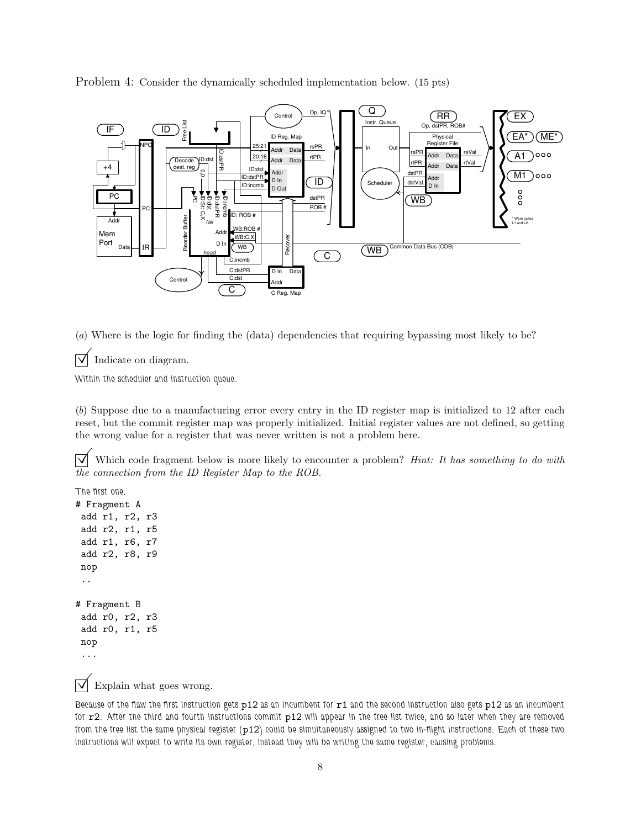Problem 4: Consider the dynamically scheduled implementation below. (15 pts)



(a) Where is the logic for finding the (data) dependencies that requiring bypassing most likely to be?

Indicate on diagram.

Within the scheduler and instruction queue.

(b) Suppose due to a manufacturing error every entry in the ID register map is initialized to 12 after each reset, but the commit register map was properly initialized. Initial register values are not defined, so getting the wrong value for a register that was never written is not a problem here.

 $\overrightarrow{\mathcal{A}}$  Which code fragment below is more likely to encounter a problem? *Hint: It has something to do with* the connection from the ID Register Map to the ROB.

```
The first one.
# Fragment A
add r1, r2, r3
add r2, r1, r5
add r1, r6, r7
add r2, r8, r9
nop
 ..
# Fragment B
add r0, r2, r3
add r0, r1, r5
nop
 ...
```
 $\triangledown$  Explain what goes wrong.

Because of the flaw the first instruction gets  $p12$  as an incumbent for  $r1$  and the second instruction also gets  $p12$  as an incumbent for r2. After the third and fourth instructions commit p12 will appear in the free list twice, and so later when they are removed from the free list the same physical register (p12) could be simultaneously assigned to two in-flight instructions. Each of these two instructions will expect to write its own register, instead they will be writing the same register, causing problems.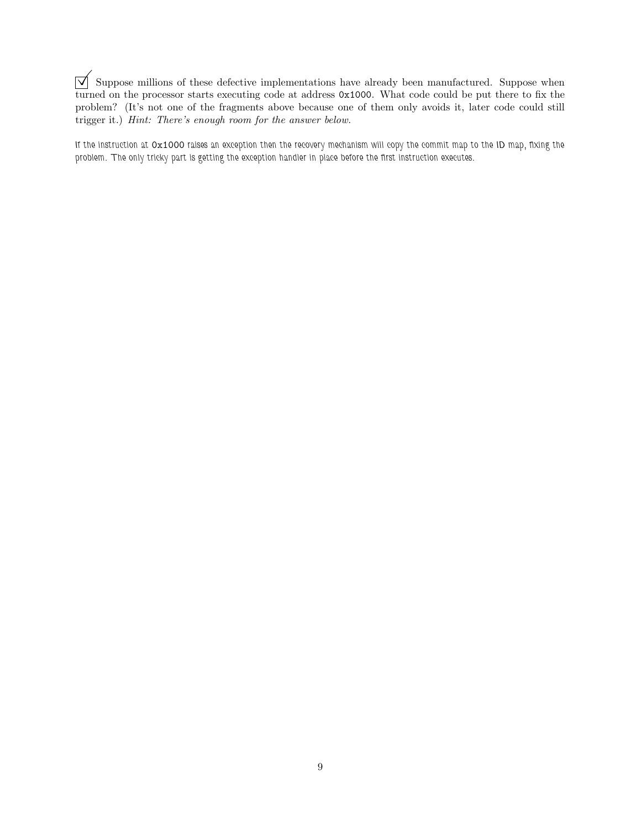$\boxed{\bigtriangledown}$  Suppose millions of these defective implementations have already been manufactured. Suppose when turned on the processor starts executing code at address 0x1000. What code could be put there to fix the problem? (It's not one of the fragments above because one of them only avoids it, later code could still trigger it.) Hint: There's enough room for the answer below.

If the instruction at 0x1000 raises an exception then the recovery mechanism will copy the commit map to the ID map, fixing the problem. The only tricky part is getting the exception handler in place before the first instruction executes.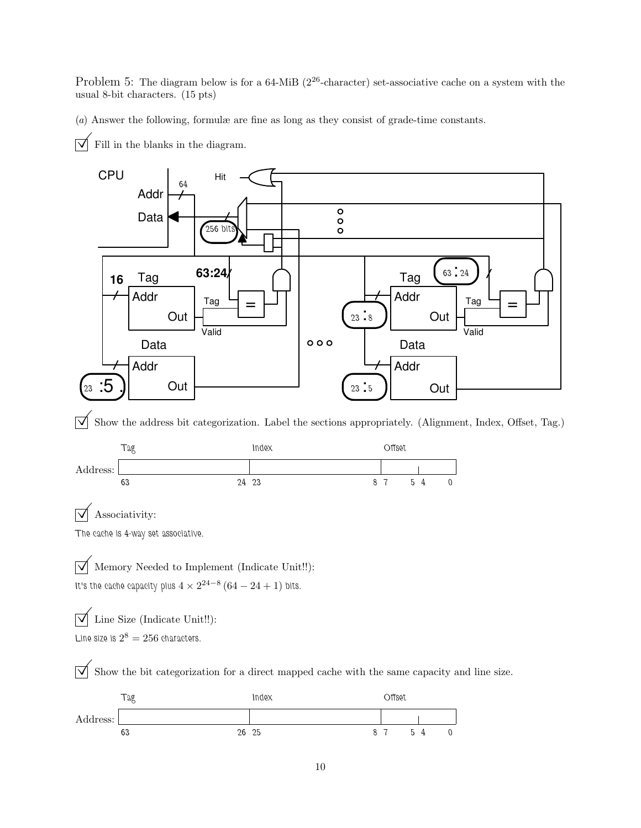Problem 5: The diagram below is for a 64-MiB ( $2^{26}$ -character) set-associative cache on a system with the usual 8-bit characters. (15 pts)

(a) Answer the following, formulæ are fine as long as they consist of grade-time constants.

 $\overrightarrow{\mathsf{M}}$  Fill in the blanks in the diagram.



 $\triangledown$  Associativity:

The cache is 4-way set associative.

 $\overline{\vee}$  Memory Needed to Implement (Indicate Unit!!): It's the cache capacity plus  $4 \times 2^{24-8}$   $(64-24+1)$  bits.

 $\overline{\mathcal{A}}$  Line Size (Indicate Unit!!): Line size is  $2^8 = 256$  characters.

 $\overrightarrow{\mathcal{A}}$  Show the bit categorization for a direct mapped cache with the same capacity and line size.

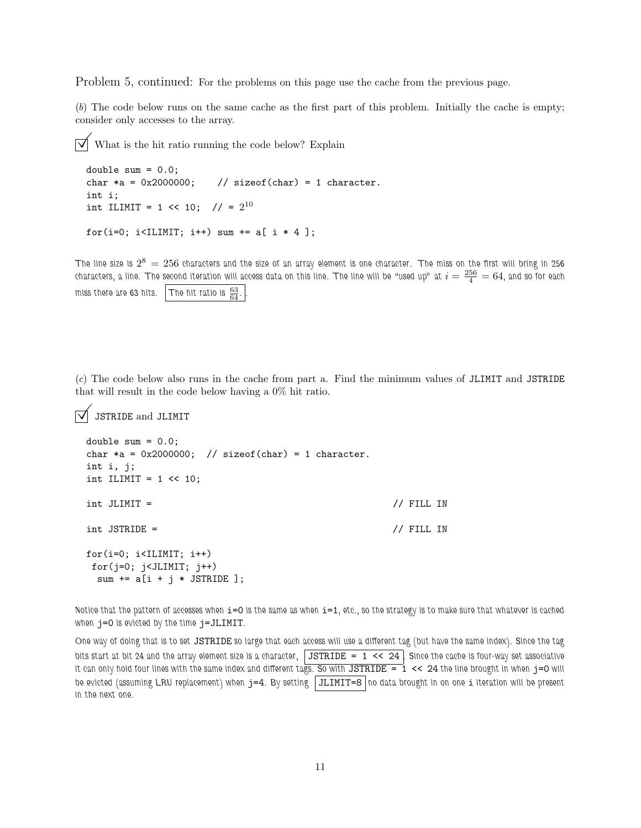Problem 5, continued: For the problems on this page use the cache from the previous page.

(b) The code below runs on the same cache as the first part of this problem. Initially the cache is empty; consider only accesses to the array.

 $\triangledown$  What is the hit ratio running the code below? Explain

```
double sum = 0.0;
char *a = 0x2000000; // sizeof(char) = 1 character.
int i;
int ILIMIT = 1 << 10; // = 2^{10}for(i=0; i<ILIMIT; i++) sum += a[i * 4];
```
The line size is  $2^8\,=\,256$  characters and the size of an array element is one character. The miss on the first will bring in  $256$ characters, a line. The second iteration will access data on this line. The line will be "used up" at  $i=\frac{256}{4}=64$ , and so for each miss there are 63 hits.  $\boxed{\text{The hit ratio is } \frac{63}{64}}$ .

(c) The code below also runs in the cache from part a. Find the minimum values of JLIMIT and JSTRIDE that will result in the code below having a 0% hit ratio.

```
\sqrt{\phantom{a}} JSTRIDE and JLIMIT
```

```
double sum = 0.0;
char *a = 0x2000000; // sizeof(char) = 1 character.
int i, j;
int ILIMIT = 1 \le 10;
int JLIMIT = // FILL IN
int JSTRIDE = // FILL IN
for(i=0; i<IILMIT; i++)for(j=0; j<JLIMIT; j++)sum += a[i + j * JSTRIDE];
```
Notice that the pattern of accesses when i=0 is the same as when i=1, etc., so the strategy is to make sure that whatever is cached when  $j=0$  is evicted by the time  $j=JLIMIT$ .

One way of doing that is to set JSTRIDE so large that each access will use a different tag (but have the same index). Since the tag bits start at bit 24 and the array element size is a character,  $\vert$  JSTRIDE = 1 << 24. Since the cache is four-way set associative it can only hold four lines with the same index and different tags. So with  $JSTRIDE = 1$  << 24 the line brought in when  $j=0$  will be evicted (assuming LRU replacement) when  $j=4$ . By setting  $|JLLIMIT=8|$  no data brought in on one  $i$  iteration will be present in the next one.